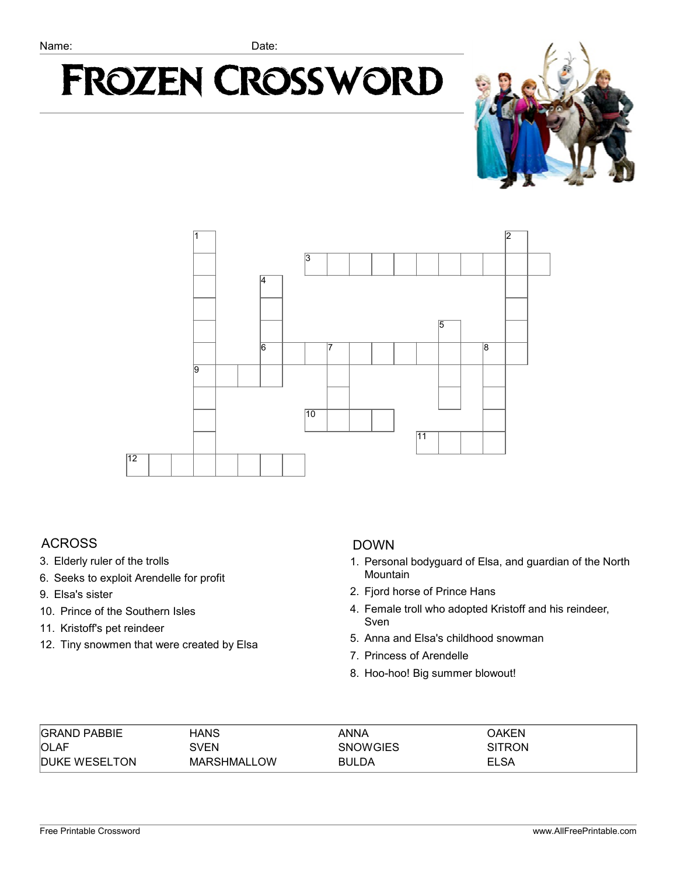# **Frozen Crossword**





### ACROSS

- 3. Elderly ruler of the trolls
- 6. Seeks to exploit Arendelle for profit
- 9. Elsa's sister
- 10. Prince of the Southern Isles
- 11. Kristoff's pet reindeer
- 12. Tiny snowmen that were created by Elsa

### DOWN

- 1. Personal bodyguard of Elsa, and guardian of the North Mountain
- 2. Fjord horse of Prince Hans
- 4. Female troll who adopted Kristoff and his reindeer, Sven
- 5. Anna and Elsa's childhood snowman
- 7. Princess of Arendelle
- 8. Hoo-hoo! Big summer blowout!

| <b>GRAND PABBIE</b>  | HANS               | ANNA            | OAKEN         |
|----------------------|--------------------|-----------------|---------------|
| <b>OLAF</b>          | SVEN               | <b>SNOWGIES</b> | <b>SITRON</b> |
| <b>DUKE WESELTON</b> | <b>MARSHMALLOW</b> | <b>BULDA</b>    | <b>ELSA</b>   |